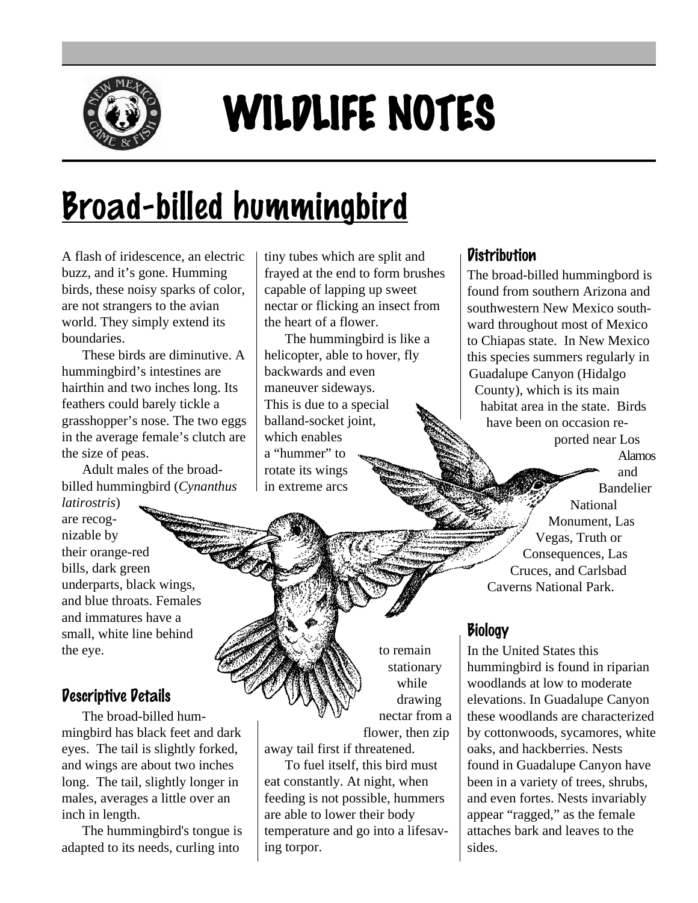

# WILDLIFE NOTES

# <u>Broad-billed hummingbird</u>

A flash of iridescence, an electric buzz, and it's gone. Humming birds, these noisy sparks of color, are not strangers to the avian world. They simply extend its boundaries.

These birds are diminutive. A hummingbird's intestines are hairthin and two inches long. Its feathers could barely tickle a grasshopper's nose. The two eggs in the average female's clutch are the size of peas.

Adult males of the broadbilled hummingbird (*Cynanthus*

*latirostris*) are recognizable by their orange-red bills, dark green underparts, black wings, and blue throats. Females and immatures have a small, white line behind the eye.

## Descriptive Details

The broad-billed hummingbird has black feet and dark eyes. The tail is slightly forked, and wings are about two inches long. The tail, slightly longer in males, averages a little over an inch in length.

The hummingbird's tongue is adapted to its needs, curling into

tiny tubes which are split and frayed at the end to form brushes capable of lapping up sweet nectar or flicking an insect from the heart of a flower.

The hummingbird is like a helicopter, able to hover, fly backwards and even maneuver sideways. This is due to a special balland-socket joint, which enables a "hummer" to rotate its wings in extreme arcs

#### **Distribution**

The broad-billed hummingbord is found from southern Arizona and southwestern New Mexico southward throughout most of Mexico to Chiapas state. In New Mexico this species summers regularly in Guadalupe Canyon (Hidalgo County), which is its main habitat area in the state. Birds have been on occasion reported near Los Alamos and Bandelier

National Monument, Las Vegas, Truth or Consequences, Las Cruces, and Carlsbad Caverns National Park.

## **Biology**

In the United States this hummingbird is found in riparian woodlands at low to moderate elevations. In Guadalupe Canyon these woodlands are characterized by cottonwoods, sycamores, white oaks, and hackberries. Nests found in Guadalupe Canyon have been in a variety of trees, shrubs, and even fortes. Nests invariably appear "ragged," as the female attaches bark and leaves to the sides.

to remain stationary while drawing nectar from a

flower, then zip away tail first if threatened.

To fuel itself, this bird must eat constantly. At night, when feeding is not possible, hummers are able to lower their body temperature and go into a lifesaving torpor.